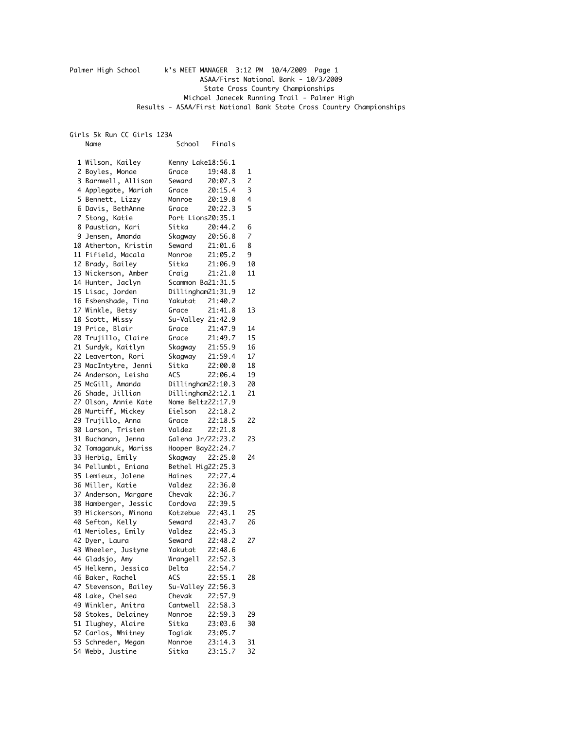## Palmer High School k's MEET MANAGER 3:12 PM 10/4/2009 Page 1 ASAA/First National Bank - 10/3/2009 State Cross Country Championships Michael Janecek Running Trail - Palmer High Results - ASAA/First National Bank State Cross Country Championships

Girls 5k Run CC Girls 123A Name School Finals

| 1 Wilson, Kailey     | Kenny Lake18:56.1                  |         |    |
|----------------------|------------------------------------|---------|----|
| 2 Boyles, Monae      | Grace 19:48.8                      |         | 1  |
| 3 Barnwell, Allison  | <b>Seward</b>                      | 20:07.3 | 2  |
| 4 Applegate, Mariah  | Grace                              | 20:15.4 | 3  |
| 5 Bennett, Lizzy     | Monroe                             | 20:19.8 | 4  |
| 6 Davis, BethAnne    | Grace                              | 20:22.3 | 5  |
| 7 Stong, Katie       | Port Lions20:35.1                  |         |    |
| 8 Paustian, Kari     | Sitka 20:44.2                      |         | 6  |
| 9 Jensen, Amanda     | Skagway 20:56.8<br>Seward 21:01.6  |         | 7  |
| 10 Atherton, Kristin |                                    |         | 8  |
| 11 Fifield, Macala   | Monroe                             | 21:05.2 | 9  |
| 12 Brady, Bailey     | Sitka                              | 21:06.9 | 10 |
| 13 Nickerson, Amber  | Craig                              | 21:21.0 | 11 |
| 14 Hunter, Jaclyn    | Scammon Ba21:31.5                  |         |    |
| 15 Lisac, Jorden     | Dillingham21:31.9                  |         | 12 |
| 16 Esbenshade, Tina  | Yakutat 21:40.2                    |         |    |
| 17 Winkle, Betsy     | Grace                              | 21:41.8 | 13 |
| 18 Scott, Missy      | Su-Valley 21:42.9                  |         |    |
| 19 Price, Blair      | Grace 21:47.9                      |         | 14 |
| 20 Trujillo, Claire  | Grace 21:49.7                      |         | 15 |
| 21 Surdyk, Kaitlyn   | Skagway 21:55.9<br>Skagway 21:59.4 |         | 16 |
| 22 Leaverton, Rori   |                                    |         | 17 |
| 23 MacIntytre, Jenni | Sitka                              | 22:00.0 | 18 |
| 24 Anderson, Leisha  | ACS                                | 22:06.4 | 19 |
| 25 McGill, Amanda    | Dillingham22:10.3                  |         | 20 |
| 26 Shade, Jillian    | Dillingham22:12.1                  |         | 21 |
| 27 Olson, Annie Kate | Nome Beltz22:17.9                  |         |    |
| 28 Murtiff, Mickey   | Eielson 22:18.2                    |         |    |
| 29 Trujillo, Anna    | Grace                              | 22:18.5 | 22 |
| 30 Larson, Tristen   | Valdez 22:21.8                     |         |    |
| 31 Buchanan, Jenna   | Galena Jr/22:23.2                  |         | 23 |
| 32 Tomaganuk, Mariss | Hooper Bay22:24.7                  |         |    |
| 33 Herbig, Emily     | Skagway 22:25.0                    |         | 24 |
| 34 Pellumbi, Eniana  | Bethel Hig22:25.3                  |         |    |
| 35 Lemieux, Jolene   | Haines 22:27.4                     |         |    |
| 36 Miller, Katie     | Valdez                             | 22:36.0 |    |
| 37 Anderson, Margare | Chevak                             | 22:36.7 |    |
| 38 Hamberger, Jessic | Cordova 22:39.5                    |         |    |
| 39 Hickerson, Winona | Kotzebue $22:43.1$                 |         | 25 |
| 40 Sefton, Kelly     | Seward 22:43.7                     |         | 26 |
| 41 Merioles, Emily   | Valdez 22:45.3                     |         |    |
| 42 Dyer, Laura       | Seward 22:48.2                     |         | 27 |
| 43 Wheeler, Justyne  | Yakutat 22:48.6                    |         |    |
| 44 Gladsjo, Amy      | Wrangell 22:52.3                   |         |    |
| 45 Helkenn, Jessica  | Delta                              | 22:54.7 |    |
| 46 Baker, Rachel     | ACS                                | 22:55.1 | 28 |
| 47 Stevenson, Bailey | Su-Valley 22:56.3                  |         |    |
| 48 Lake, Chelsea     | Chevak                             | 22:57.9 |    |
| 49 Winkler, Anitra   | Cantwell                           | 22:58.3 |    |
| 50 Stokes, Delainey  | Monroe                             | 22:59.3 | 29 |
| 51 Ilughey, Alaire   | Sitka                              | 23:03.6 | 30 |
| 52 Carlos, Whitney   | Togiak                             | 23:05.7 |    |
| 53 Schreder, Megan   | Monroe                             | 23:14.3 | 31 |
| 54 Webb, Justine     | Sitka                              | 23:15.7 | 32 |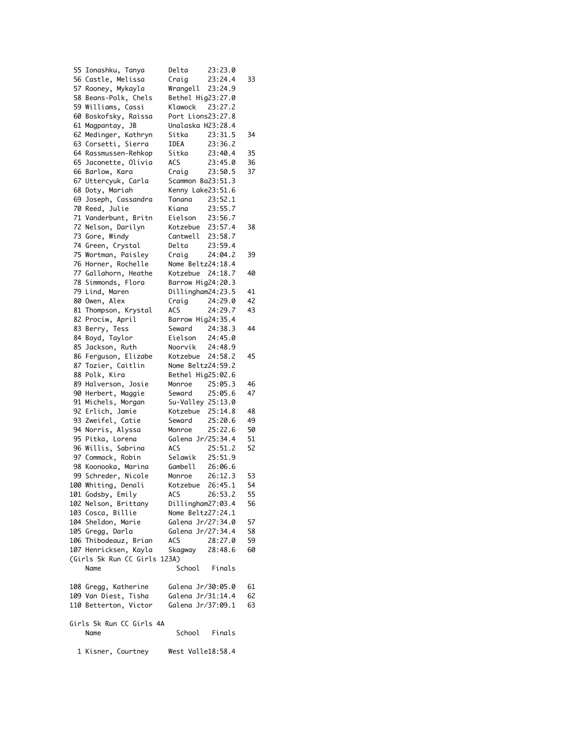| 55 Ionashku, Tanya                   | Delta                | 23:23.0            |    |
|--------------------------------------|----------------------|--------------------|----|
| 56 Castle, Melissa                   | Craig                | 23:24.4            | 33 |
| 57 Rooney, Mykayla                   | Wrangell             | 23:24.9            |    |
| 58 Beans-Polk, Chels                 | Bethel Hig23:27.0    |                    |    |
| 59 Williams, Cassi                   | Klawock              | 23:27.2            |    |
| 60 Boskofsky, Raissa                 | Port Lions23:27.8    |                    |    |
| 61 Magpantay, JB                     | Unalaska H23:28.4    |                    |    |
| 62 Medinger, Kathryn                 | Sitka                | 23:31.5            | 34 |
| 63 Corsetti, Sierra                  | IDEA                 | 23:36.2            |    |
| 64 Rassmussen-Rehkop                 | Sitka                | 23:40.4            | 35 |
| 65 Jaconette, Olivia                 | ACS                  | 23:45.0            | 36 |
| 66 Barlow, Kara                      | Craig                | 23:50.5            | 37 |
| 67 Uttercyuk, Carla                  | Scammon Ba23:51.3    |                    |    |
| 68 Doty, Mariah                      | Kenny Lake23:51.6    |                    |    |
| 69 Joseph, Cassandra                 | Tanana               | 23:52.1            |    |
| 70 Reed, Julie                       | Kiana                | 23:55.7            |    |
| 71 Vanderbunt, Britn                 | Eielson              | 23:56.7            |    |
| 72 Nelson, Darilyn<br>73 Gore, Windy | Kotzebue<br>Cantwell | 23:57.4<br>23:58.7 | 38 |
| 74 Green, Crystal                    | Delta                | 23:59.4            |    |
| 75 Wortman, Paisley                  | Craig                | 24:04.2            | 39 |
| 76 Horner, Rochelle                  | Nome Beltz24:18.4    |                    |    |
| 77 Gallahorn, Heathe                 | Kotzebue             | 24:18.7            | 40 |
| 78 Simmonds, Flora                   | Barrow Hig24:20.3    |                    |    |
| 79 Lind, Maren                       | Dillingham24:23.5    |                    | 41 |
| 80 Owen, Alex                        | Craig                | 24:29.0            | 42 |
| 81 Thompson, Krystal                 | ACS                  | 24:29.7            | 43 |
| 82 Prociw, April                     | Barrow Hig24:35.4    |                    |    |
| 83 Berry, Tess                       | Seward               | 24:38.3            | 44 |
| 84 Boyd, Taylor                      | Eielson              | 24:45.0            |    |
| 85 Jackson, Ruth                     | Noorvik              | 24:48.9            |    |
| 86 Ferguson, Elizabe                 | Kotzebue             | 24:58.2            | 45 |
| 87 Tozier, Caitlin                   | Nome Beltz24:59.2    |                    |    |
| 88 Polk, Kira                        | Bethel Hig25:02.6    |                    |    |
| 89 Halverson, Josie                  | Monroe               | 25:05.3            | 46 |
| 90 Herbert, Maggie                   | Seward               | 25:05.6            | 47 |
| 91 Michels, Morgan                   | Su-Valley 25:13.0    |                    |    |
| 92 Erlich, Jamie                     | Kotzebue             | 25:14.8            | 48 |
| 93 Zweifel, Catie                    | Seward               | 25:20.6            | 49 |
| 94 Norris, Alyssa                    | Monroe               | 25:22.6            | 50 |
| 95 Pitka, Lorena                     | Galena Jr/25:34.4    |                    | 51 |
| 96 Willis, Sabrina                   | ACS                  | 25:51.2            | 52 |
| 97 Commack, Robin                    | Selawik              | 25:51.9            |    |
| 98 Koonooka, Marina                  | Gambell 26:06.6      |                    |    |
| 99 Schreder, Nicole                  | Monroe               | 26:12.3            | 53 |
| 100 Whiting, Denali                  | Kotzebue             | 26:45.1            | 54 |
| 101 Godsby, Emily                    | ACS                  | 26:53.2            | 55 |
| 102 Nelson, Brittany                 | Dillingham27:03.4    |                    | 56 |
| 103 Cosca, Billie                    | Nome Beltz27:24.1    |                    |    |
| 104 Sheldon, Marie                   | Galena Jr/27:34.0    |                    | 57 |
| 105 Gregg, Darla                     | Galena Jr/27:34.4    |                    | 58 |
| 106 Thibodeauz, Brian                | ACS                  | 28:27.0            | 59 |
| 107 Henricksen, Kayla                | Skagway              | 28:48.6            | 60 |
| (Girls 5k Run CC Girls 123A)         | School               |                    |    |
| Name                                 |                      | Finals             |    |
| 108 Gregg, Katherine                 | Galena Jr/30:05.0    |                    | 61 |
| 109 Van Diest, Tisha                 | Galena Jr/31:14.4    |                    | 62 |
| 110 Betterton, Victor                | Galena Jr/37:09.1    |                    | 63 |
| Girls 5k Run CC Girls 4A             |                      |                    |    |
| Name                                 | School               | Finals             |    |
|                                      |                      |                    |    |
| 1 Kisner, Courtney                   | West Valle18:58.4    |                    |    |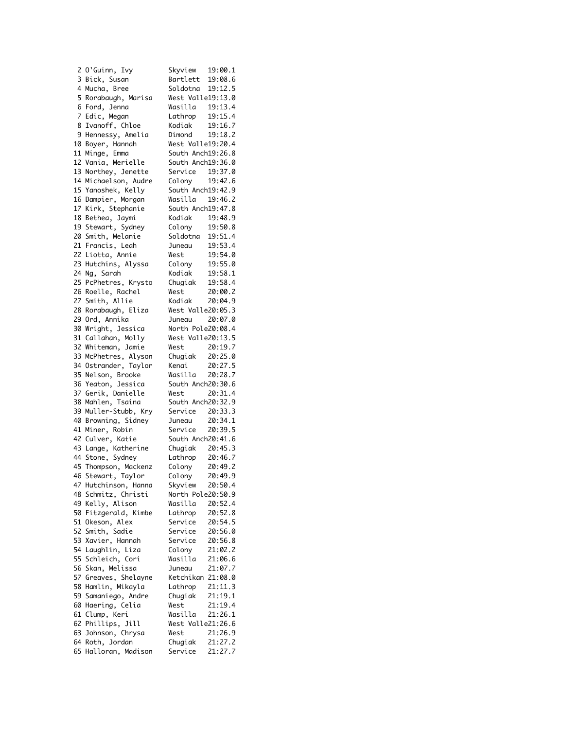| 2 O'Guinn, Ivy          | Skyview 19:00.1                    |         |
|-------------------------|------------------------------------|---------|
| 3 Bick, Susan           | Bartlett 19:08.6                   |         |
| 4 Mucha, Bree           | Soldotna                           | 19:12.5 |
| 5 Rorabaugh, Marisa     | West Valle19:13.0                  |         |
| 6 Ford, Jenna           | Wasilla 19:13.4                    |         |
| 7 Edic, Megan           | Lathrop                            | 19:15.4 |
| 8 Ivanoff, Chloe        | Kodiak 19:16.7                     |         |
| 9<br>Hennessy, Amelia   | Dimond 19:18.2                     |         |
| 10 Boyer, Hannah        | West Valle19:20.4                  |         |
| Minge, Emma<br>11       | South Anch19:26.8                  |         |
| 12<br>Vania, Merielle   | South Anch19:36.0                  |         |
| 13 Northey, Jenette     | Service 19:37.0                    |         |
| 14 Michaelson, Audre    | Colony                             | 19:42.6 |
| 15<br>Yanoshek, Kelly   | South Anch19:42.9                  |         |
| 16 Dampier, Morgan      | Wasilla 19:46.2                    |         |
|                         |                                    |         |
| 17<br>Kirk, Stephanie   | South Anch19:47.8                  |         |
| 18<br>Bethea, Jaymi     | Kodiak 19:48.9                     |         |
| 19 Stewart, Sydney      | Colony 19:50.8<br>Soldotna 19:51.4 | 19:50.8 |
| 20 Smith, Melanie       |                                    |         |
| 21<br>Francis, Leah     | Juneau                             | 19:53.4 |
| 22 Liotta, Annie        | West                               | 19:54.0 |
| 23<br>Hutchins, Alyssa  | ى: 15.54.0<br>29:55.0 Colony       |         |
| 24<br>Ng, Sarah         | Kodiak 19:58.1                     |         |
| 25 PcPhetres, Krysto    | Chugiak                            | 19:58.4 |
| 26 Roelle, Rachel       | West                               | 20:00.2 |
| 27<br>Smith, Allie      | Kodiak                             | 20:04.9 |
| 28<br>Rorabaugh, Eliza  | West Valle20:05.3                  |         |
| 29<br>Ord, Annika       | Juneau 20:07.0                     |         |
| 30<br>Wright, Jessica   | North Pole20:08.4                  |         |
| Callahan, Molly<br>31   | West Valle20:13.5                  |         |
| Whiteman, Jamie<br>32   | West                               | 20:19.7 |
| 33<br>McPhetres, Alyson | Chugiak 20:25.0                    |         |
| 34 Ostrander, Taylor    | Kenai                              | 20:27.5 |
| 35<br>Nelson, Brooke    | <br>Wasilla 20:28.7                |         |
| 36<br>Yeaton, Jessica   | South Anch20:30.6                  |         |
| 37<br>Gerik, Danielle   | West                               | 20:31.4 |
| Mahlen, Tsaina<br>38    | South Anch20:32.9                  |         |
| Muller-Stubb, Kry<br>39 | Service 20:33.3                    |         |
| 40 Browning, Sidney     |                                    |         |
| 41 Miner, Robin         | Juneau 20:34.1<br>Service 20:39.5  |         |
| Culver, Katie<br>42     | South Anch20:41.6                  |         |
|                         |                                    |         |
| 43 Lange, Katherine     | Chugiak 20:45.3<br>Lathrop 20:46.7 |         |
| 44 Stone, Sydney        |                                    |         |
| 45<br>Thompson, Mackenz | Colony 20:49.2                     |         |
| 46<br>Stewart, Taylor   | Colony                             | 20:49.9 |
| Hutchinson, Hanna<br>47 | Skyview                            | 20:50.4 |
| 48<br>Schmitz, Christi  | North Pole20:50.9                  |         |
| 49<br>Kelly, Alison     | Wasilla                            | 20:52.4 |
| 50<br>Fitzgerald, Kimbe | Lathrop                            | 20:52.8 |
| 51<br>Okeson, Alex      | Service                            | 20:54.5 |
| 52<br>Smith, Sadie      | Service                            | 20:56.0 |
| Xavier, Hannah<br>53    | Service                            | 20:56.8 |
| 54<br>Laughlin, Liza    | Colony                             | 21:02.2 |
| 55<br>Schleich, Cori    | Wasilla                            | 21:06.6 |
| 56<br>Skan, Melissa     | Juneau                             | 21:07.7 |
| 57<br>Greaves, Shelayne | Ketchikan 21:08.0                  |         |
| 58<br>Hamlin, Mikayla   | Lathrop                            | 21:11.3 |
| 59<br>Samaniego, Andre  | Chugiak                            | 21:19.1 |
| Haering, Celia<br>60    | West                               | 21:19.4 |
| 61 Clump, Keri          | Wasilla                            | 21:26.1 |
| 62 Phillips, Jill       | West Valle21:26.6                  |         |
| Johnson, Chrysa<br>63   | West                               | 21:26.9 |
| 64<br>Roth, Jordan      | Chugiak                            | 21:27.2 |
| 65<br>Halloran, Madison | Service                            | 21:27.7 |
|                         |                                    |         |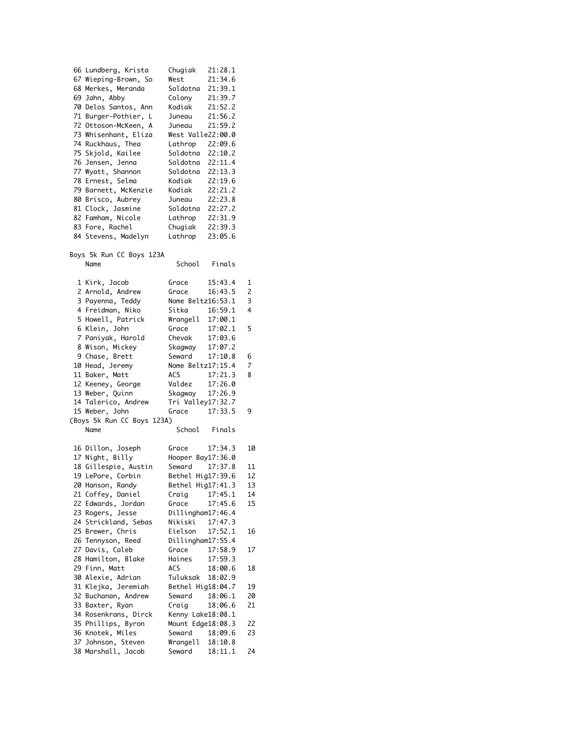| 66 Lundberg, Krista              | Chugiak                                      | 21:28.1 |    |
|----------------------------------|----------------------------------------------|---------|----|
| 67 Wieping-Brown, So             | West                                         | 21:34.6 |    |
| 68 Merkes, Meranda               | Soldotna                                     | 21:39.1 |    |
| 69 Jahn, Abby                    | Colony                                       | 21:39.7 |    |
| 70 Delos Santos, Ann             | Kodiak                                       | 21:52.2 |    |
| 71 Burger-Pothier, L             | Juneau                                       | 21:56.2 |    |
| 72 Ottoson-McKeen, A             | Juneau                                       | 21:59.2 |    |
| 73 Whisenhant, Eliza             | West Valle22:00.0                            |         |    |
| 74 Ruckhaus, Thea                | Lathrop 22:09.6                              |         |    |
| 75 Skjold, Kailee                | Soldotna 22:10.2                             |         |    |
| 76 Jensen, Jenna                 | Soldotna 22:11.4                             |         |    |
| 77 Wyatt, Shannon                | Soldotna 22:13.3                             |         |    |
| 78 Ernest, Selma                 | Kodiak                                       | 22:19.6 |    |
| 79 Barnett, McKenzie             | Kodiak                                       | 22:21.2 |    |
| 80 Brisco, Aubrey                | Juneau 22:23.8                               |         |    |
| 81 Clock, Jasmine                |                                              |         |    |
| 82 Famham, Nicole                | Soldotna 22:27.2<br>Lathrop 22:31.9          |         |    |
| 83 Fore, Rachel                  | Chugiak 22:39.3                              |         |    |
| 84 Stevens, Madelyn              | Lathrop 23:05.6                              |         |    |
| Boys 5k Run CC Boys 123A<br>Name | School Finals                                |         |    |
|                                  |                                              |         |    |
| 1 Kirk, Jacob                    | Grace                                        | 15:43.4 | 1  |
| 2 Arnold, Andrew                 | Grace                                        | 16:43.5 | 2  |
| 3 Payenna, Teddy                 | Nome Beltz16:53.1                            |         | 3  |
| 4 Freidman, Niko                 |                                              |         | 4  |
| 5 Howell, Patrick                |                                              |         |    |
| 6 Klein, John                    | Sitka 16:59.1<br>Wrangell 17:00.1<br>17:02.1 |         | 5  |
| 7 Paniyak, Harold                | Chevak 17:03.6                               |         |    |
| 8 Wison, Mickey                  |                                              | 17:07.2 |    |
| 9 Chase, Brett                   | Skagway<br>Seward                            | 17:10.8 | 6  |
| 10 Head, Jeremy                  | Nome Beltz17:15.4                            |         | 7  |
| 11 Baker, Matt                   |                                              |         | 8  |
| 12 Keeney, George                | ACS 17:21.3<br>Valdez 17:26.0                |         |    |
| 13 Weber, Quinn                  | Skagway 17:26.9                              |         |    |
| 14 Talerico, Andrew              | Tri Valley17:32.7                            |         |    |
| 15 Weber, John                   | Grace 17:33.5                                |         | 9  |
| (Boys 5k Run CC Boys 123A)       |                                              |         |    |
| Name                             | School Finals                                |         |    |
| 16 Dillon, Joseph                | Grace                                        | 17:34.3 | 10 |
| 17 Night, Billy                  | Hooper Bay17:36.0                            |         |    |
| 18 Gillespie, Austin             | Seward                                       | 17:37.8 | 11 |
| 19 LePore, Corbin                | Bethel Hig17:39.6                            |         | 12 |
| 20 Hanson, Randy                 | Bethel Hig17:41.3                            |         | 13 |
| 21 Coffey, Daniel                | Craig                                        | 17:45.1 | 14 |
| 22 Edwards, Jordan               | Grace                                        | 17:45.6 | 15 |
| 23 Rogers, Jesse                 | Dillingham17:46.4                            |         |    |
| 24 Strickland, Sebas             | Nikiski                                      | 17:47.3 |    |
| 25 Brewer, Chris                 | Eielson                                      | 17:52.1 | 16 |
| 26 Tennyson, Reed                | Dillingham17:55.4                            |         |    |
| 27 Davis, Caleb                  | Grace                                        | 17:58.9 | 17 |
| 28 Hamilton, Blake               | Haines                                       | 17:59.3 |    |
| 29 Finn, Matt                    | ACS                                          | 18:00.6 | 18 |
| 30 Alexie, Adrian                | Tuluksak                                     | 18:02.9 |    |
| 31 Klejka, Jeremiah              | Bethel Hig18:04.7                            |         | 19 |
| 32 Buchanan, Andrew              | Seward                                       | 18:06.1 | 20 |
| 33 Baxter, Ryan                  | Craig                                        | 18:06.6 | 21 |
| 34 Rosenkrans, Dirck             | Kenny Lake18:08.1                            |         |    |
| 35 Phillips, Byron               | Mount Edge18:08.3                            |         | 22 |
| 36 Knotek, Miles                 | Seward                                       | 18:09.6 | 23 |
| 37 Johnson, Steven               | Wrangell 18:10.8                             |         |    |
| 38 Marshall, Jacob               | Seward                                       | 18:11.1 | 24 |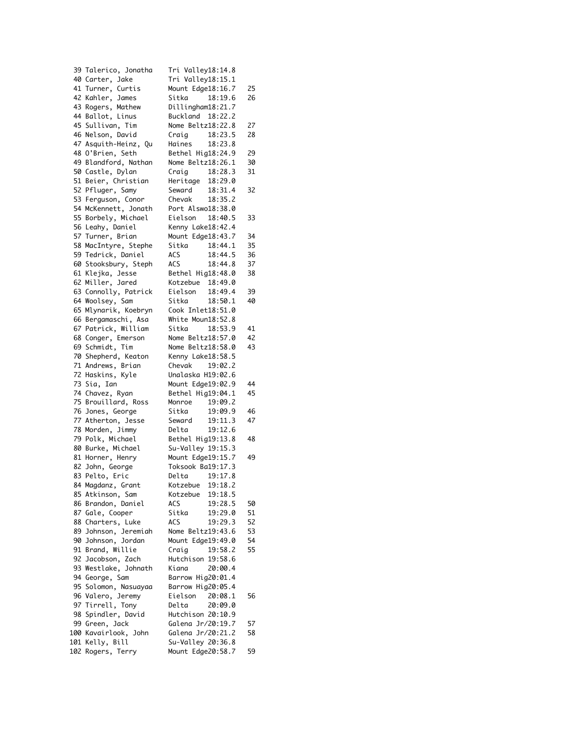| 39 Talerico, Jonatha | Tri Valley18:14.8                            |    |
|----------------------|----------------------------------------------|----|
| 40 Carter, Jake      | Tri Valley18:15.1                            |    |
| 41 Turner, Curtis    | Mount Edge18:16.7                            | 25 |
| 42 Kahler, James     | Sitka 18:19.6                                | 26 |
| 43 Rogers, Mathew    | Dillingham18:21.7                            |    |
| 44 Ballot, Linus     | Buckland 18:22.2                             |    |
| 45 Sullivan, Tim     | Nome Beltz18:22.8                            | 27 |
| 46 Nelson, David     | Craig 18:23.5                                | 28 |
|                      |                                              |    |
| 47 Asquith-Heinz, Qu | Haines 18:23.8                               |    |
| 48 O'Brien, Seth     | Bethel Hig18:24.9                            | 29 |
| 49 Blandford, Nathan | Nome Beltz18:26.1                            | 30 |
| 50 Castle, Dylan     | 18:28.3<br>Craig 18:28.3<br>Heritage 18:29.0 | 31 |
| 51 Beier, Christian  |                                              |    |
| 52 Pfluger, Samy     | Seward 18:31.4                               | 32 |
| 53 Ferguson, Conor   | Chevak 18:35.2                               |    |
| 54 McKennett, Jonath | Port Alswo18:38.0                            |    |
| 55 Borbely, Michael  | 18:40.5<br>Eielson                           | 33 |
| 56 Leahy, Daniel     | Kenny Lake18:42.4                            |    |
| 57 Turner, Brian     | Mount Edge18:43.7                            | 34 |
|                      |                                              |    |
| 58 MacIntyre, Stephe | Sitka 18:44.1                                | 35 |
| 59 Tedrick, Daniel   | 18:44.5<br>ACS<br>ACS                        | 36 |
| 60 Stooksbury, Steph | 18:44.8                                      | 37 |
| 61 Klejka, Jesse     | Bethel Hig18:48.0                            | 38 |
| 62 Miller, Jared     | Kotzebue 18:49.0                             |    |
| 63 Connolly, Patrick | Eielson<br>18:49.4                           | 39 |
| 64 Woolsey, Sam      | Sitka<br>18:50.1                             | 40 |
| 65 Mlynarik, Koebryn | Cook Inlet18:51.0                            |    |
| 66 Bergamaschi, Asa  | White Moun18:52.8                            |    |
| 67 Patrick, William  | 18:53.9<br>Sitka                             | 41 |
| 68 Conger, Emerson   | Nome Beltz18:57.0                            | 42 |
| 69 Schmidt, Tim      | Nome Beltz18:58.0                            | 43 |
| 70 Shepherd, Keaton  | Kenny Lake18:58.5                            |    |
| 71 Andrews, Brian    | Chevak 19:02.2                               |    |
| 72 Haskins, Kyle     | Unalaska H19:02.6                            |    |
| 73 Sia, Ian          | Mount Edge19:02.9                            | 44 |
| 74 Chavez, Ryan      | Bethel Hig19:04.1                            | 45 |
| 75 Brouillard, Ross  | Monroe 19:09.2                               |    |
| 76 Jones, George     | 19:09.9<br>Sitka                             | 46 |
| 77 Atherton, Jesse   |                                              | 47 |
|                      | Seward 19:11.3<br>Delta 19:12.6              |    |
| 78 Morden, Jimmy     |                                              |    |
| 79 Polk, Michael     | Bethel Hig19:13.8                            | 48 |
| 80 Burke, Michael    | Su-Valley 19:15.3                            |    |
| 81 Horner, Henry     | Mount Edge19:15.7                            | 49 |
| 82 John, George      | Toksook Ba19:17.3                            |    |
| 83 Pelto, Eric       | 19:17.8<br>Delta                             |    |
| 84 Magdanz, Grant    | Kotzebue<br>19:18.2                          |    |
| 85 Atkinson, Sam     | Kotzebue<br>19:18.5                          |    |
| 86 Brandon, Daniel   | ACS<br>19:28.5                               | 50 |
| 87 Gale, Cooper      | Sitka<br>19:29.0                             | 51 |
| 88 Charters, Luke    | ACS<br>19:29.3                               | 52 |
| 89 Johnson, Jeremiah | Nome Beltz19:43.6                            | 53 |
| 90 Johnson, Jordan   | Mount Edge19:49.0                            | 54 |
| 91 Brand, Willie     | 19:58.2<br>Craig                             | 55 |
| 92 Jacobson, Zach    | Hutchison 19:58.6                            |    |
|                      | 20:00.4                                      |    |
| 93 Westlake, Johnath | Kiana                                        |    |
| 94 George, Sam       | Barrow Hig20:01.4                            |    |
| 95 Solomon, Nasuayaa | Barrow Hig20:05.4                            |    |
| 96 Valero, Jeremy    | Eielson<br>20:08.1                           | 56 |
| 97 Tirrell, Tony     | Delta<br>20:09.0                             |    |
| 98 Spindler, David   | Hutchison 20:10.9                            |    |
| 99 Green, Jack       | Galena Jr/20:19.7                            | 57 |
| 100 Kavairlook, John | Galena Jr/20:21.2                            | 58 |
| 101 Kelly, Bill      | Su-Valley 20:36.8                            |    |
| 102 Rogers, Terry    | Mount Edge20:58.7                            | 59 |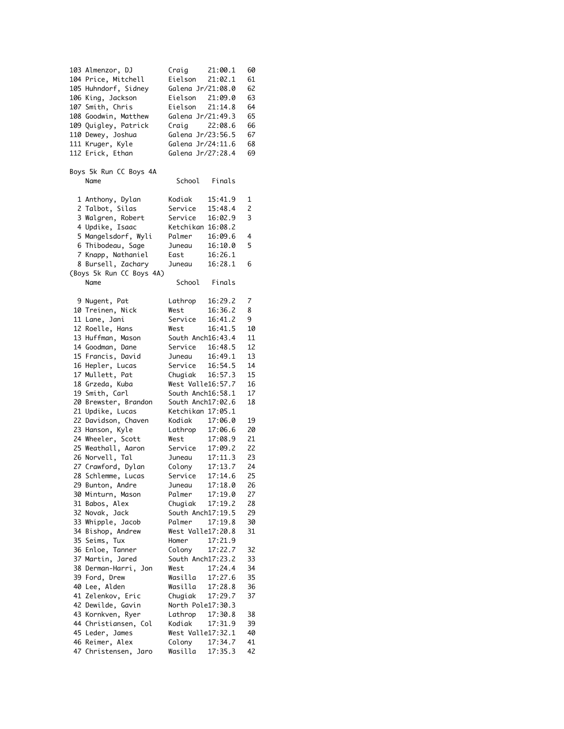| 103 Almenzor, DJ         | Craig                              | 21:00.1            | 60 |
|--------------------------|------------------------------------|--------------------|----|
| 104 Price, Mitchell      | Eielson 21:02.1                    |                    | 61 |
| 105 Huhndorf, Sidney     | Galena Jr/21:08.0                  |                    | 62 |
|                          |                                    |                    |    |
| 106 King, Jackson        |                                    |                    | 63 |
| 107 Smith, Chris         | Eielson 21:09.0<br>Eielson 21:14.8 |                    | 64 |
| 108 Goodwin, Matthew     | Galena Jr/21:49.3                  |                    | 65 |
|                          |                                    |                    |    |
| 109 Quigley, Patrick     | Craig 22:08.6                      |                    | 66 |
| 110 Dewey, Joshua        | Galena Jr/23:56.5                  |                    | 67 |
|                          |                                    |                    |    |
| 111 Kruger, Kyle         | Galena Jr/24:11.6                  |                    | 68 |
| 112 Erick, Ethan         | Galena Jr/27:28.4                  |                    | 69 |
|                          |                                    |                    |    |
|                          |                                    |                    |    |
| Boys 5k Run CC Boys 4A   |                                    |                    |    |
| Name                     |                                    | School Finals      |    |
|                          |                                    |                    |    |
|                          |                                    |                    |    |
| 1 Anthony, Dylan         | Kodiak                             | 15:41.9            | 1  |
| 2 Talbot, Silas          | Service                            | 15:48.4            | 2  |
| 3 Walgren, Robert        | Service                            | 16:02.9            | 3  |
|                          |                                    |                    |    |
| 4 Updike, Isaac          | Ketchikan 16:08.2                  |                    |    |
| 5 Mangelsdorf, Wyli      | Palmer                             | 16:09.6            | 4  |
|                          |                                    |                    |    |
| 6 Thibodeau, Sage        | Juneau                             | 16:10.0            | 5  |
| 7 Knapp, Nathaniel       | East                               | 16:26.1            |    |
| 8 Bursell, Zachary       | Juneau                             | 16:28.1            | 6  |
|                          |                                    |                    |    |
| (Boys 5k Run CC Boys 4A) |                                    |                    |    |
| Name                     |                                    | School Finals      |    |
|                          |                                    |                    |    |
|                          |                                    |                    |    |
| 9 Nugent, Pat            | Lathrop                            | 16:29.2            | 7  |
| 10 Treinen, Nick         | West                               | 16:36.2            | 8  |
| 11 Lane, Jani            | Service                            | 16:41.2            | 9  |
|                          |                                    |                    |    |
| 12 Roelle, Hans          | West                               | 16:41.5            | 10 |
| 13 Huffman, Mason        | South Anch16:43.4                  |                    | 11 |
|                          |                                    |                    |    |
| 14 Goodman, Dane         | Service                            | 16:48.5            | 12 |
| 15 Francis, David        | Juneau                             | 16:49.1            | 13 |
| 16 Hepler, Lucas         | Service 16:54.5                    |                    | 14 |
|                          |                                    |                    |    |
| 17 Mullett, Pat          | Chugiak 16:57.3                    |                    | 15 |
| 18 Grzeda, Kuba          | West Valle16:57.7                  |                    | 16 |
| 19 Smith, Carl           | South Anch16:58.1                  |                    | 17 |
|                          |                                    |                    |    |
| 20 Brewster, Brandon     | South Anch17:02.6                  |                    | 18 |
| 21 Updike, Lucas         | Ketchikan 17:05.1                  |                    |    |
| 22 Davidson, Chaven      | Kodiak                             | 17:06.0            | 19 |
|                          |                                    |                    |    |
| 23 Hanson, Kyle          | Lathrop 17:06.6                    |                    | 20 |
| 24 Wheeler, Scott        | West                               | 17:08.9            | 21 |
| 25 Weathall, Aaron       | Service                            | 17:09.2            | 22 |
|                          |                                    |                    |    |
| 26 Norvell, Tal          | Juneau                             | 17:11.3            | 23 |
| 27 Crawford, Dylan       | Colony                             | $17:13.7$<br>$3.7$ | 24 |
|                          | Service                            | 17:14.6            | 25 |
| 28 Schlemme, Lucas       |                                    |                    |    |
| 29 Bunton, Andre         | Juneau                             | 17:18.0            | 26 |
| 30 Minturn, Mason        | Palmer                             | 17:19.0            | 27 |
|                          |                                    |                    |    |
| 31 Babos, Alex           | Chugiak                            | 17:19.2            | 28 |
| 32 Novak, Jack           | South Anch17:19.5                  |                    | 29 |
| 33 Whipple, Jacob        | Palmer                             | 17:19.8            | 30 |
|                          |                                    |                    |    |
| 34 Bishop, Andrew        | West Valle17:20.8                  |                    | 31 |
| 35 Seims, Tux            | Homer                              | 17:21.9            |    |
| 36 Enloe, Tanner         | Colony                             | 17:22.7            | 32 |
|                          |                                    |                    |    |
| 37 Martin, Jared         | South Anch17:23.2                  |                    | 33 |
| 38 Derman-Harri, Jon     | West                               | 17:24.4            | 34 |
| 39 Ford, Drew            | Wasilla                            | 17:27.6            | 35 |
|                          |                                    |                    |    |
| 40 Lee, Alden            | Wasilla                            | 17:28.8            | 36 |
| 41 Zelenkov, Eric        | Chugiak                            | 17:29.7            | 37 |
|                          | North Pole17:30.3                  |                    |    |
| 42 Dewilde, Gavin        |                                    |                    |    |
| 43 Kornkven, Ryer        | Lathrop                            | 17:30.8            | 38 |
| 44 Christiansen, Col     | Kodiak                             | 17:31.9            | 39 |
|                          |                                    |                    |    |
| 45 Leder, James          | West Valle17:32.1                  |                    | 40 |
| 46 Reimer, Alex          | Colony                             | 17:34.7            | 41 |
| 47 Christensen, Jaro     | Wasilla 17:35.3                    |                    | 42 |
|                          |                                    |                    |    |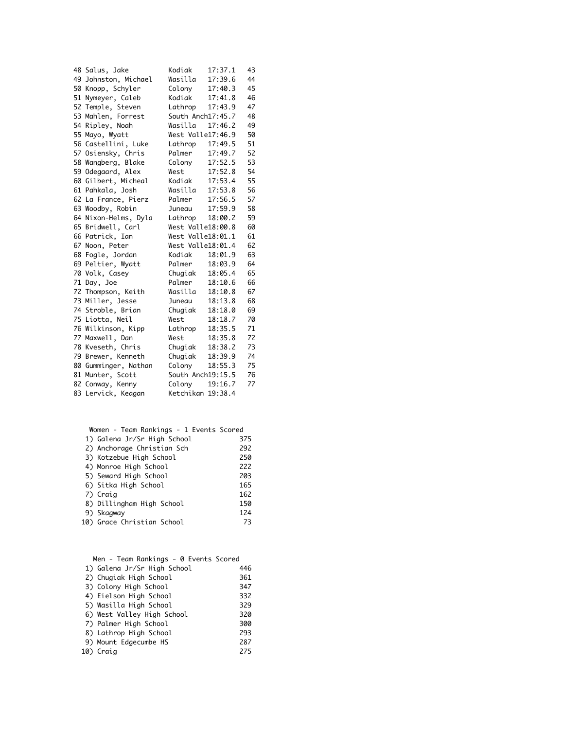| 48 Salus, Jake       | Kodiak            | 17:37.1           | 43 |
|----------------------|-------------------|-------------------|----|
| 49 Johnston, Michael | Wasilla           | 17:39.6           | 44 |
| 50 Knopp, Schyler    | Colony            | 17:40.3           | 45 |
| 51 Nymeyer, Caleb    | Kodiak            | 17:41.8           | 46 |
| 52 Temple, Steven    | Lathrop           | 17:43.9           | 47 |
| 53 Mahlen, Forrest   |                   | South Anch17:45.7 | 48 |
| 54 Ripley, Noah      | Wasilla           | 17:46.2           | 49 |
| 55 Mayo, Wyatt       |                   | West Valle17:46.9 | 50 |
| 56 Castellini, Luke  | Lathrop           | 17:49.5           | 51 |
| 57 Osiensky, Chris   | Palmer            | 17:49.7           | 52 |
| 58 Wangberg, Blake   | Colony            | 17:52.5           | 53 |
| 59 Odegaard, Alex    | West              | 17:52.8           | 54 |
| 60 Gilbert, Micheal  | Kodiak            | 17:53.4           | 55 |
| 61 Pahkala, Josh     | Wasilla           | 17:53.8           | 56 |
| 62 La France, Pierz  | Palmer            | 17:56.5           | 57 |
| 63 Woodby, Robin     | Juneau            | 17:59.9           | 58 |
| 64 Nixon-Helms, Dyla |                   | Lathrop 18:00.2   | 59 |
| 65 Bridwell, Carl    |                   | West Valle18:00.8 | 60 |
| 66 Patrick, Ian      |                   | West Valle18:01.1 | 61 |
|                      |                   |                   |    |
| 67 Noon, Peter       | West Valle18:01.4 |                   | 62 |
| 68 Fogle, Jordan     | Kodiak            | 18:01.9           | 63 |
| 69 Peltier, Wyatt    | Palmer            | 18:03.9           | 64 |
| 70 Volk, Casey       | Chugiak           | 18:05.4           | 65 |
| 71 Day, Joe          | Palmer            | 18:10.6           | 66 |
| 72 Thompson, Keith   | Wasilla           | 18:10.8           | 67 |
| 73 Miller, Jesse     | Juneau            | 18:13.8           | 68 |
| 74 Stroble, Brian    | Chugiak           | 18:18.0           | 69 |
| 75 Liotta, Neil      | West              | 18:18.7           | 70 |
| 76 Wilkinson, Kipp   | Lathrop           | 18:35.5           | 71 |
| 77 Maxwell, Dan      | West              | 18:35.8           | 72 |
| 78 Kveseth, Chris    | Chugiak           | 18:38.2           | 73 |
| 79 Brewer, Kenneth   |                   | 18:39.9           | 74 |
| 80 Gumminger, Nathan | Chugiak<br>Colony | 18:55.3           | 75 |
| 81 Munter, Scott     |                   | South Anch19:15.5 | 76 |
| 82 Conway, Kenny     | Colony            | 19:16.7           | 77 |
| 83 Lervick, Keagan   | Ketchikan 19:38.4 |                   |    |

| Women - Team Rankings - 1 Events Scored |     |
|-----------------------------------------|-----|
| 1) Galena Jr/Sr High School             | 375 |
| 2) Anchorage Christian Sch              | 292 |
| 3) Kotzebue High School                 | 250 |
| 4) Monroe High School                   | 222 |
| 5) Seward High School                   | 203 |
| 6) Sitka High School                    | 165 |
| 7) Craig                                | 162 |
| 8) Dillingham High School               | 150 |
| 9) Skagway                              | 124 |
| 10) Grace Christian School              | 73  |

| Men - Team Rankings - 0 Events Scored |     |
|---------------------------------------|-----|
| 1) Galena Jr/Sr High School           | 446 |
| 2) Chugiak High School                | 361 |
| 3) Colony High School                 | 347 |
| 4) Eielson High School                | 332 |
| 5) Wasilla High School                | 329 |
| 6) West Valley High School            | 320 |
| 7) Palmer High School                 | 300 |
| 8) Lathrop High School                | 293 |
| 9) Mount Edgecumbe HS                 | 287 |
| 10) Craig                             | 275 |
|                                       |     |